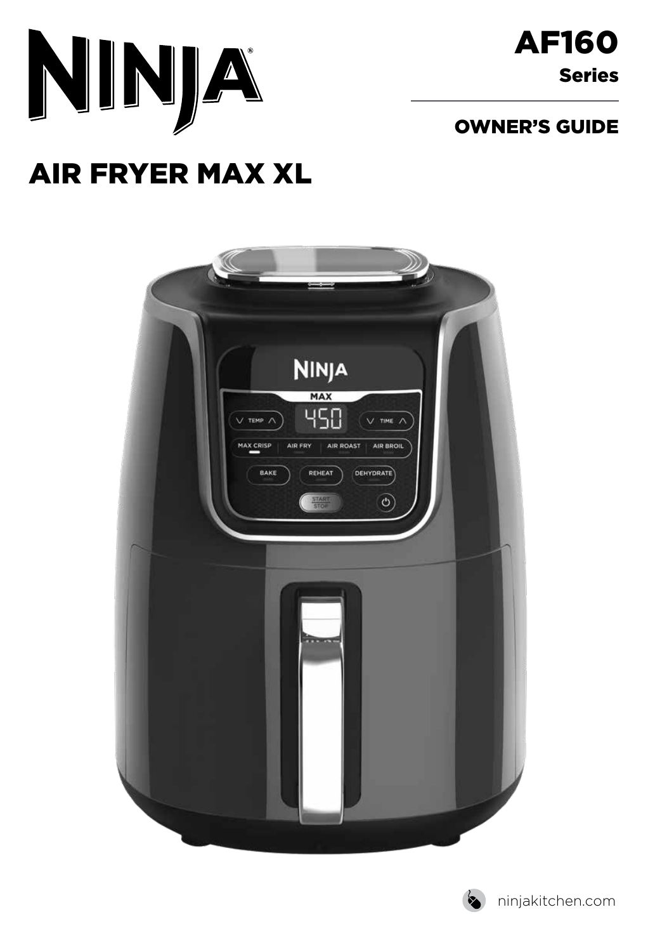

### OWNER'S GUIDE

# AIR FRYER MAX XL



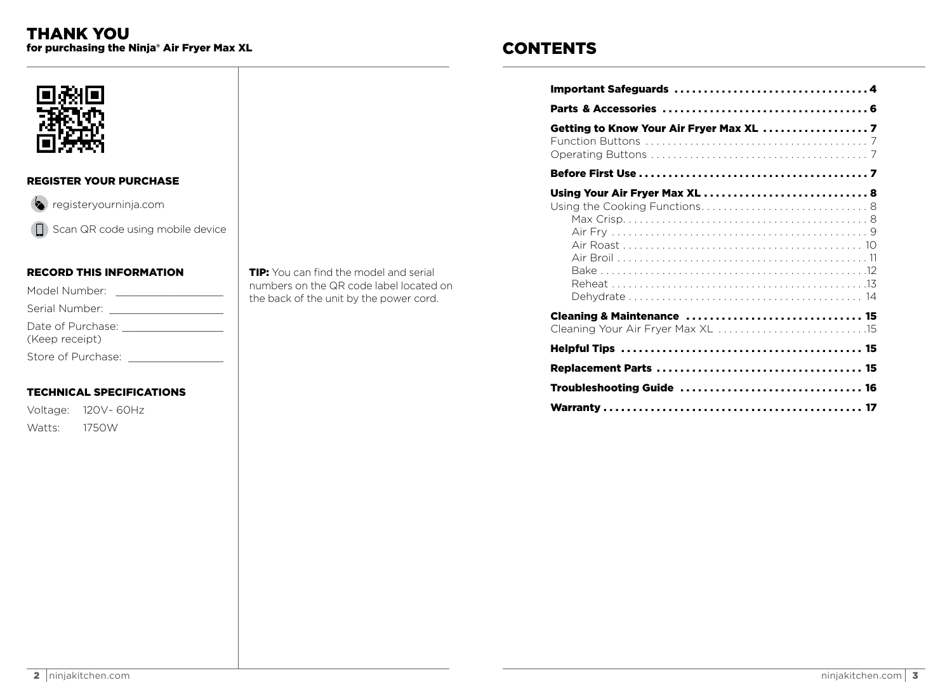### **CONTENTS**

| Getting to Know Your Air Fryer Max XL  7 |
|------------------------------------------|
|                                          |
| Using Your Air Fryer Max XL  8           |
| Cleaning & Maintenance  15               |
|                                          |
|                                          |
|                                          |
| Troubleshooting Guide  16                |
|                                          |



#### **REGISTER YOUR PURCHASE**

 $\left( \bullet \right)$  registeryourninja.com

Scan QR code using mobile device

#### **RECORD THIS INFORMATION**

| Model Number:                       |  |
|-------------------------------------|--|
| Serial Number:                      |  |
| Date of Purchase:<br>(Keep receipt) |  |
| Store of Purchase:                  |  |

#### **TECHNICAL SPECIFICATIONS**

Voltage: 120V~ 60Hz 1750W Watts:

**TIP:** You can find the model and serial numbers on the QR code label located on the back of the unit by the power cord.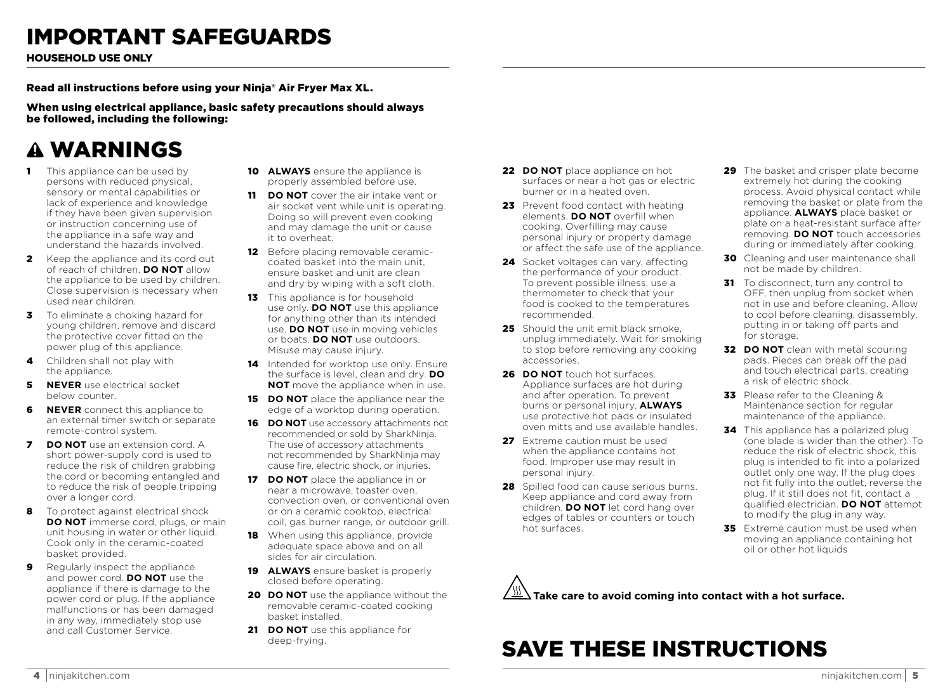# IMPORTANT SAFEGUARDS

HOUSEHOLD USE ONLY

Read all instructions before using your Ninja® Air Fryer Max XL.

When using electrical appliance, basic safety precautions should always be followed, including the following:

# WARNINGS

- **1** This appliance can be used by persons with reduced physical, sensory or mental capabilities or lack of experience and knowledge if they have been given supervision or instruction concerning use of the appliance in a safe way and understand the hazards involved.
- **2** Keep the appliance and its cord out of reach of children. **DO NOT** allow the appliance to be used by children. Close supervision is necessary when used near children.
- **3** To eliminate a choking hazard for young children, remove and discard the protective cover fitted on the power plug of this appliance.
- 4 Children shall not play with the appliance.
- **5 NEVER** use electrical socket below counter.
- **6 NEVER** connect this appliance to an external timer switch or separate remote-control system.
- 7 **DO NOT** use an extension cord. A short power-supply cord is used to reduce the risk of children grabbing the cord or becoming entangled and to reduce the risk of people tripping over a longer cord.
- 8 To protect against electrical shock **DO NOT** immerse cord, plugs, or main unit housing in water or other liquid. Cook only in the ceramic-coated basket provided.
- **9** Regularly inspect the appliance and power cord. **DO NOT** use the appliance if there is damage to the power cord or plug. If the appliance malfunctions or has been damaged in any way, immediately stop use and call Customer Service.
- **10 ALWAYS** ensure the appliance is properly assembled before use.
- 11 **DO NOT** cover the air intake vent or air socket vent while unit is operating. Doing so will prevent even cooking and may damage the unit or cause it to overheat.
- 12 Before placing removable ceramiccoated basket into the main unit, ensure basket and unit are clean and dry by wiping with a soft cloth.
- **13** This appliance is for household use only. **DO NOT** use this appliance for anything other than its intended use. **DO NOT** use in moving vehicles or boats. **DO NOT** use outdoors. Misuse may cause injury.
- 14 Intended for worktop use only. Ensure the surface is level, clean and dry. **DO NOT** move the appliance when in use.
- **15 DO NOT** place the appliance near the edge of a worktop during operation.
- 16 **DO NOT** use accessory attachments not recommended or sold by SharkNinja. The use of accessory attachments not recommended by SharkNinja may cause fire, electric shock, or injuries.
- **17 DO NOT** place the appliance in or near a microwave, toaster oven, convection oven, or conventional oven or on a ceramic cooktop, electrical coil, gas burner range, or outdoor grill.
- **18** When using this appliance, provide adequate space above and on all sides for air circulation.
- **19 ALWAYS** ensure basket is properly closed before operating.
- 20 **DO NOT** use the appliance without the removable ceramic-coated cooking basket installed.
- 21 **DO NOT** use this appliance for deep-frying.
- **22 DO NOT** place appliance on hot surfaces or near a hot gas or electric burner or in a heated oven.
- 23 Prevent food contact with heating elements. **DO NOT** overfill when cooking. Overfilling may cause personal injury or property damage or affect the safe use of the appliance.
- 24 Socket voltages can vary, affecting the performance of your product. To prevent possible illness, use a thermometer to check that your food is cooked to the temperatures recommended.
- 25 Should the unit emit black smoke. unplug immediately. Wait for smoking to stop before removing any cooking accessories.
- **26 DO NOT** touch hot surfaces. Appliance surfaces are hot during and after operation. To prevent burns or personal injury, **ALWAYS** use protective hot pads or insulated oven mitts and use available handles.
- 27 Extreme caution must be used when the appliance contains hot food. Improper use may result in personal injury.
- 28 Spilled food can cause serious burns. Keep appliance and cord away from children. **DO NOT** let cord hang over edges of tables or counters or touch hot surfaces.
- 29 The basket and crisper plate become extremely hot during the cooking process. Avoid physical contact while removing the basket or plate from the appliance. **ALWAYS** place basket or plate on a heat-resistant surface after removing. **DO NOT** touch accessories during or immediately after cooking.
- **30** Cleaning and user maintenance shall not be made by children.
- 31 To disconnect, turn any control to OFF, then unplug from socket when not in use and before cleaning. Allow to cool before cleaning, disassembly, putting in or taking off parts and for storage.
- **32 DO NOT** clean with metal scouring pads. Pieces can break off the pad and touch electrical parts, creating a risk of electric shock.
- **33** Please refer to the Cleaning & Maintenance section for regular maintenance of the appliance.
- **34** This appliance has a polarized plug (one blade is wider than the other). To reduce the risk of electric shock, this plug is intended to fit into a polarized outlet only one way. If the plug does not fit fully into the outlet, reverse the plug. If it still does not fit, contact a qualified electrician. **DO NOT** attempt to modify the plug in any way.
- 35 Extreme caution must be used when moving an appliance containing hot oil or other hot liquids

**Take care to avoid coming into contact with a hot surface.**

# SAVE THESE INSTRUCTIONS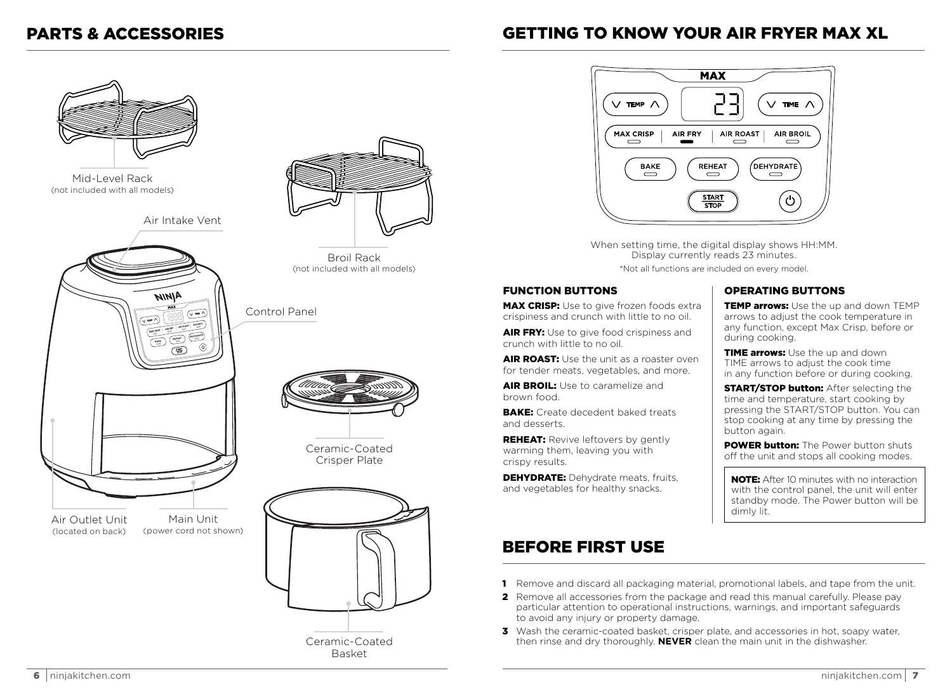### PARTS & ACCESSORIES GETTING TO KNOW YOUR AIR FRYER MAX XL



Basket



When setting time, the digital display shows HH:MM. Display currently reads 23 minutes. \*Not all functions are included on every model.

#### FUNCTION BUTTONS

**MAX CRISP:** Use to give frozen foods extra crispiness and crunch with little to no oil.

AIR FRY: Use to give food crispiness and crunch with little to no oil.

AIR ROAST: Use the unit as a roaster oven for tender meats, vegetables, and more.

AIR BROIL: Use to caramelize and brown food.

BAKE: Create decedent baked treats and desserts.

**REHEAT:** Revive leftovers by gently warming them, leaving you with crispy results.

**DEHYDRATE:** Dehydrate meats, fruits, and vegetables for healthy snacks.

### BEFORE FIRST USE

#### OPERATING BUTTONS

TEMP arrows: Use the up and down TEMP arrows to adjust the cook temperature in any function, except Max Crisp, before or during cooking.

TIME arrows: Use the up and down TIME arrows to adjust the cook time in any function before or during cooking.

**START/STOP button:** After selecting the time and temperature, start cooking by pressing the START/STOP button. You can stop cooking at any time by pressing the button again.

**POWER button:** The Power button shuts off the unit and stops all cooking modes.

NOTE: After 10 minutes with no interaction with the control panel, the unit will enter standby mode. The Power button will be dimly lit.

- 1 Remove and discard all packaging material, promotional labels, and tape from the unit.
- 2 Remove all accessories from the package and read this manual carefully. Please pay particular attention to operational instructions, warnings, and important safeguards to avoid any injury or property damage.
- 3 Wash the ceramic-coated basket, crisper plate, and accessories in hot, soapy water, then rinse and dry thoroughly. **NEVER** clean the main unit in the dishwasher.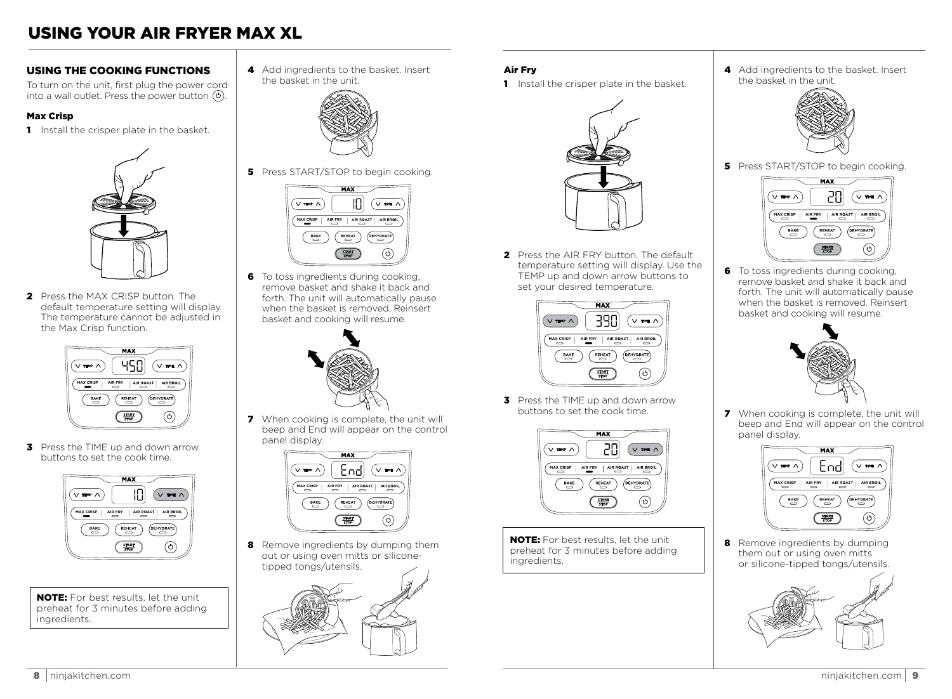### USING YOUR AIR FRYER MAX XL

### USING THE COOKING FUNCTIONS

To turn on the unit, first plug the power cord into a wall outlet. Press the power button  $\circledcirc$ .

#### Max Crisp

**1** Install the crisper plate in the basket.



2 Press the MAX CRISP button. The default temperature setting will display. The temperature cannot be adjusted in the Max Crisp function.



**3** Press the TIME up and down arrow buttons to set the cook time.



NOTE: For best results, let the unit preheat for 3 minutes before adding ingredients.

4 Add ingredients to the basket. Insert the basket in the unit.



**5** Press START/STOP to begin cooking.



**6** To toss ingredients during cooking. remove basket and shake it back and forth. The unit will automatically pause when the basket is removed. Reinsert basket and cooking will resume.



**7** When cooking is complete, the unit will beep and End will appear on the control panel display.



8 Remove ingredients by dumping them out or using oven mitts or siliconetipped tongs/utensils.



- Air Fry
- 1 Install the crisper plate in the basket.



2 Press the AIR FRY button. The default temperature setting will display. Use the TEMP up and down arrow buttons to set your desired temperature.



**3** Press the TIME up and down arrow buttons to set the cook time.



NOTE: For best results, let the unit preheat for 3 minutes before adding ingredients.

4 Add ingredients to the basket. Insert the basket in the unit.



**5** Press START/STOP to begin cooking.



6 To toss ingredients during cooking. remove basket and shake it back and forth. The unit will automatically pause when the basket is removed. Reinsert basket and cooking will resume.



**7** When cooking is complete, the unit will beep and End will appear on the control panel display.



8 Remove ingredients by dumping them out or using oven mitts or silicone-tipped tongs/utensils.

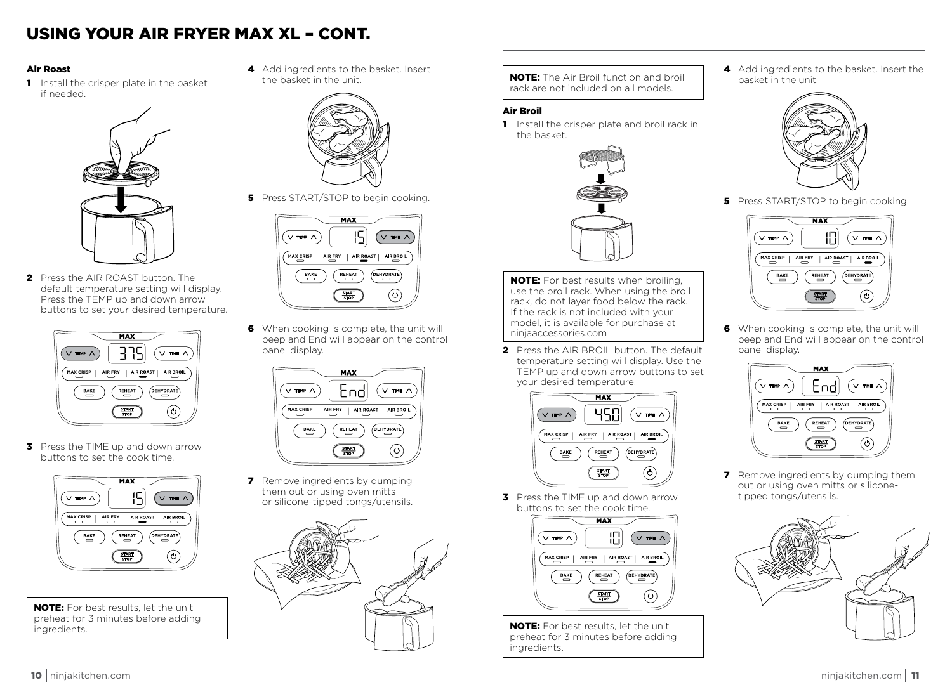### USING YOUR AIR FRYER MAX XL – CONT.

#### Air Roast

1 Install the crisper plate in the basket if needed.



2 Press the AIR ROAST button. The default temperature setting will display. Press the TEMP up and down arrow buttons to set your desired temperature.



**3** Press the TIME up and down arrow buttons to set the cook time.



NOTE: For best results, let the unit preheat for 3 minutes before adding ingredients.

4 Add ingredients to the basket. Insert the basket in the unit.



**5** Press START/STOP to begin cooking.



6 When cooking is complete, the unit will beep and End will appear on the control panel display.



**7** Remove ingredients by dumping them out or using oven mitts or silicone-tipped tongs/utensils.



NOTE: The Air Broil function and broil rack are not included on all models.

#### Air Broil

1 Install the crisper plate and broil rack in the basket.



NOTE: For best results when broiling, use the broil rack. When using the broil rack, do not layer food below the rack. If the rack is not included with your model, it is available for purchase at ninjaaccessories.com

2 Press the AIR BROIL button. The default temperature setting will display. Use the TEMP up and down arrow buttons to set your desired temperature.



**3** Press the TIME up and down arrow buttons to set the cook time.



NOTE: For best results, let the unit preheat for 3 minutes before adding ingredients.

4 Add ingredients to the basket. Insert the basket in the unit.



**5** Press START/STOP to begin cooking.



6 When cooking is complete, the unit will beep and End will appear on the control panel display.



**7** Remove ingredients by dumping them out or using oven mitts or siliconetipped tongs/utensils.

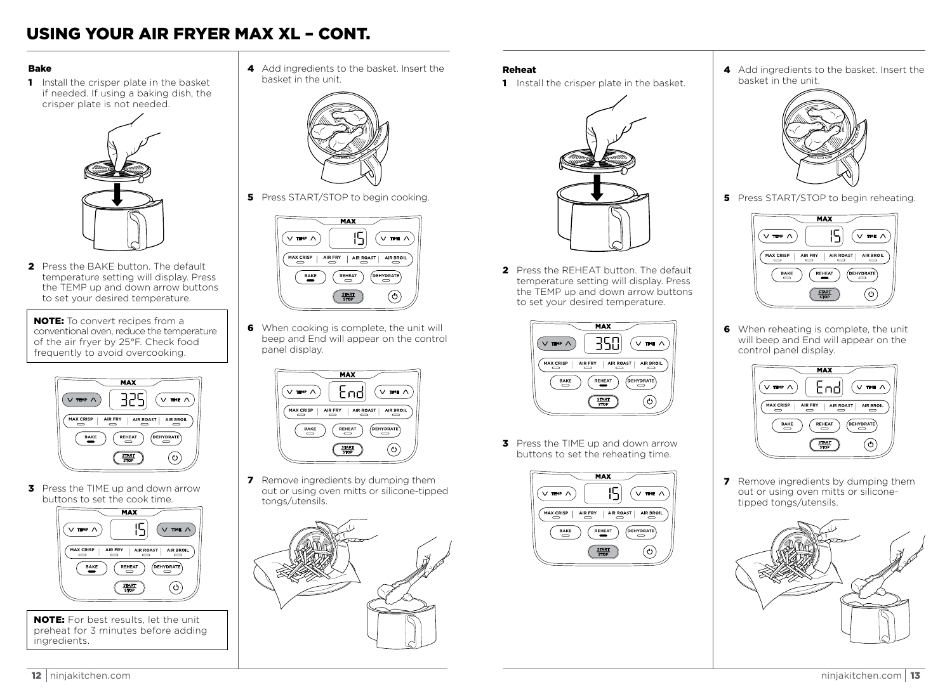### USING YOUR AIR FRYER MAX XL – CONT.

#### Bake

**1** Install the crisper plate in the basket if needed. If using a baking dish, the crisper plate is not needed.



2 Press the BAKE button. The default temperature setting will display. Press the TEMP up and down arrow buttons to set your desired temperature.

NOTE: To convert recipes from a conventional oven, reduce the temperature of the air fryer by 25°F. Check food frequently to avoid overcooking.



**3** Press the TIME up and down arrow buttons to set the cook time.



NOTE: For best results, let the unit preheat for 3 minutes before adding ingredients.

4 Add ingredients to the basket. Insert the basket in the unit.



**5** Press START/STOP to begin cooking.



6 When cooking is complete, the unit will beep and End will appear on the control panel display.



**7** Remove ingredients by dumping them out or using oven mitts or silicone-tipped tongs/utensils.



#### Reheat

**1** Install the crisper plate in the basket.



**2** Press the REHEAT button. The default temperature setting will display. Press the TEMP up and down arrow buttons to set your desired temperature.



**3** Press the TIME up and down arrow buttons to set the reheating time.



4 Add ingredients to the basket. Insert the basket in the unit.



**5** Press START/STOP to begin reheating.



6 When reheating is complete, the unit will beep and End will appear on the control panel display.



**7** Remove ingredients by dumping them out or using oven mitts or siliconetipped tongs/utensils.

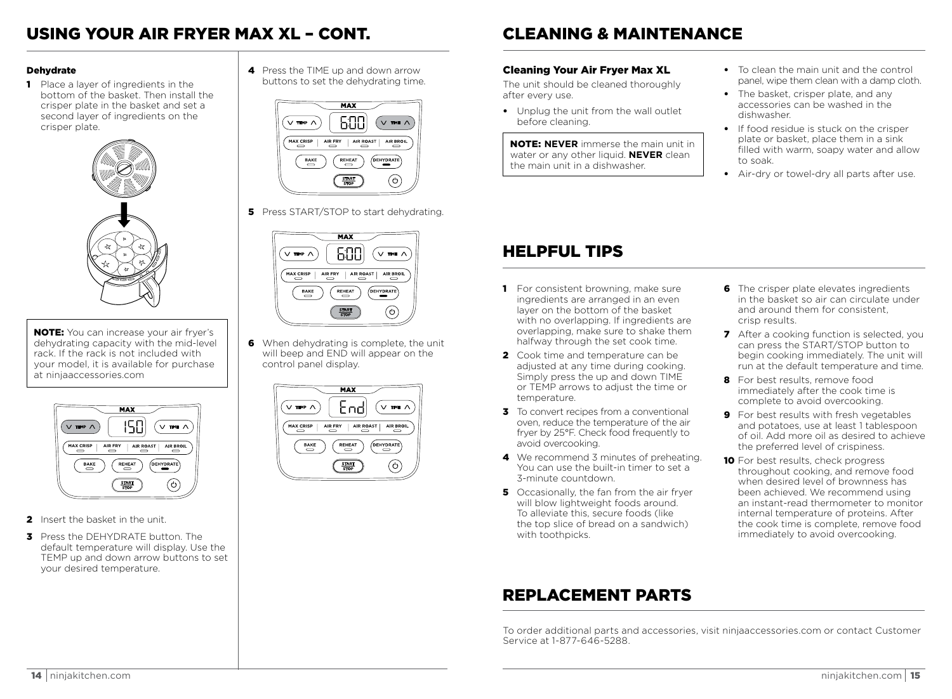### USING YOUR AIR FRYER MAX XL – CONT. CLEANING & MAINTENANCE

#### **Dehydrate**

1 Place a layer of ingredients in the bottom of the basket. Then install the crisper plate in the basket and set a second layer of ingredients on the crisper plate.



**NOTE:** You can increase your air fryer's dehydrating capacity with the mid-level rack. If the rack is not included with your model, it is available for purchase at ninjaaccessories.com



- 2 Insert the basket in the unit.
- **3** Press the DEHYDRATE button. The default temperature will display. Use the TEMP up and down arrow buttons to set your desired temperature.

4 Press the TIME up and down arrow buttons to set the dehydrating time.



**5** Press START/STOP to start dehydrating.



6 When dehydrating is complete, the unit will beep and END will appear on the control panel display.



#### Cleaning Your Air Fryer Max XL

The unit should be cleaned thoroughly after every use.

• Unplug the unit from the wall outlet before cleaning.

NOTE: **NEVER** immerse the main unit in water or any other liquid. **NEVER** clean the main unit in a dishwasher.

- To clean the main unit and the control panel, wipe them clean with a damp cloth.
- The basket, crisper plate, and any accessories can be washed in the dishwasher.
- If food residue is stuck on the crisper plate or basket, place them in a sink filled with warm, soapy water and allow to soak.
- Air-dry or towel-dry all parts after use.

### HELPFUL TIPS

- **1** For consistent browning, make sure ingredients are arranged in an even layer on the bottom of the basket with no overlapping. If ingredients are overlapping, make sure to shake them halfway through the set cook time.
- **2** Cook time and temperature can be adjusted at any time during cooking. Simply press the up and down TIME or TEMP arrows to adjust the time or temperature.
- **3** To convert recipes from a conventional oven, reduce the temperature of the air fryer by 25°F. Check food frequently to avoid overcooking.
- 4 We recommend 3 minutes of preheating. You can use the built-in timer to set a 3-minute countdown.
- 5 Occasionally, the fan from the air fryer will blow lightweight foods around To alleviate this, secure foods (like the top slice of bread on a sandwich) with toothpicks.

#### **6** The crisper plate elevates ingredients in the basket so air can circulate under and around them for consistent crisp results.

- **7** After a cooking function is selected, you can press the START/STOP button to begin cooking immediately. The unit will run at the default temperature and time.
- 8 For best results, remove food immediately after the cook time is complete to avoid overcooking.
- 9 For best results with fresh vegetables and potatoes, use at least 1 tablespoon of oil. Add more oil as desired to achieve the preferred level of crispiness.
- 10 For best results, check progress throughout cooking, and remove food when desired level of brownness has been achieved. We recommend using an instant-read thermometer to monitor internal temperature of proteins. After the cook time is complete, remove food immediately to avoid overcooking.

## REPLACEMENT PARTS

To order additional parts and accessories, visit ninjaaccessories.com or contact Customer Service at 1-877-646-5288.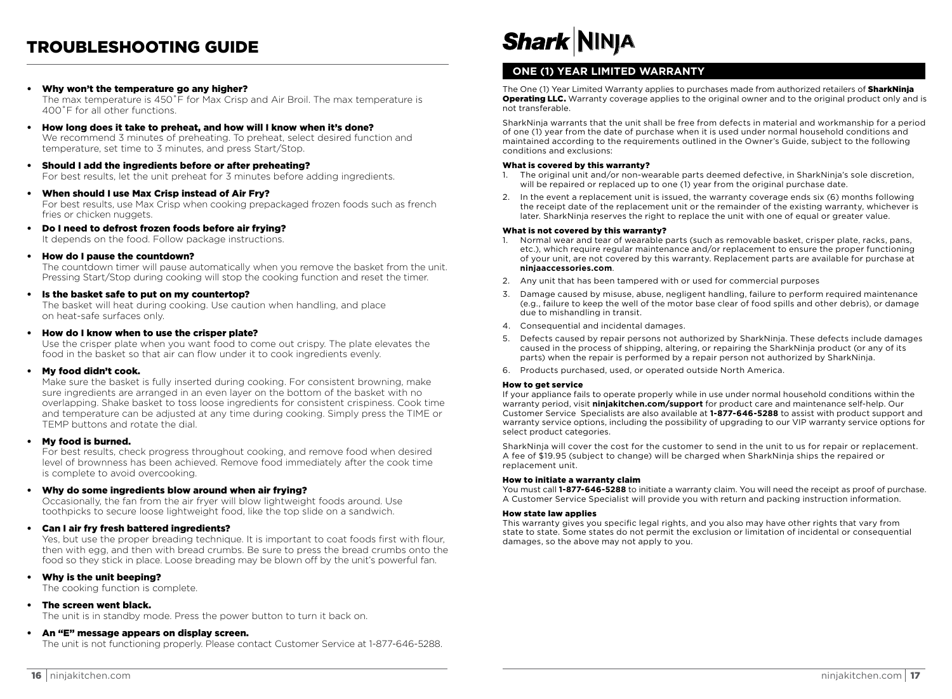### TROUBLESHOOTING GUIDE

- Why won't the temperature go any higher? The max temperature is 450˚F for Max Crisp and Air Broil. The max temperature is 400˚F for all other functions.
- How long does it take to preheat, and how will I know when it's done? We recommend 3 minutes of preheating. To preheat, select desired function and temperature, set time to 3 minutes, and press Start/Stop.
- Should I add the ingredients before or after preheating? For best results, let the unit preheat for 3 minutes before adding ingredients.
- When should I use Max Crisp instead of Air Fry?

 For best results, use Max Crisp when cooking prepackaged frozen foods such as french fries or chicken nuggets.

- Do I need to defrost frozen foods before air frying? It depends on the food. Follow package instructions.
- How do I pause the countdown?

 The countdown timer will pause automatically when you remove the basket from the unit. Pressing Start/Stop during cooking will stop the cooking function and reset the timer.

#### • Is the basket safe to put on my countertop?

 The basket will heat during cooking. Use caution when handling, and place on heat-safe surfaces only.

• How do I know when to use the crisper plate?

 Use the crisper plate when you want food to come out crispy. The plate elevates the food in the basket so that air can flow under it to cook ingredients evenly.

#### • My food didn't cook.

 Make sure the basket is fully inserted during cooking. For consistent browning, make sure ingredients are arranged in an even layer on the bottom of the basket with no overlapping. Shake basket to toss loose ingredients for consistent crispiness. Cook time and temperature can be adjusted at any time during cooking. Simply press the TIME or TEMP buttons and rotate the dial.

#### • My food is burned.

 For best results, check progress throughout cooking, and remove food when desired level of brownness has been achieved. Remove food immediately after the cook time is complete to avoid overcooking.

#### • Why do some ingredients blow around when air frying?

 Occasionally, the fan from the air fryer will blow lightweight foods around. Use toothpicks to secure loose lightweight food, like the top slide on a sandwich.

• Can I air fry fresh battered ingredients?

 Yes, but use the proper breading technique. It is important to coat foods first with flour, then with egg, and then with bread crumbs. Be sure to press the bread crumbs onto the food so they stick in place. Loose breading may be blown off by the unit's powerful fan.

• Why is the unit beeping?

The cooking function is complete.

• The screen went black.

The unit is in standby mode. Press the power button to turn it back on.

#### • An "E" message appears on display screen.

The unit is not functioning properly. Please contact Customer Service at 1-877-646-5288.

# **Shark NINJA**

#### **ONE (1) YEAR LIMITED WARRANTY**

The One (1) Year Limited Warranty applies to purchases made from authorized retailers of **SharkNinja Operating LLC.** Warranty coverage applies to the original owner and to the original product only and is not transferable.

SharkNinja warrants that the unit shall be free from defects in material and workmanship for a period of one (1) year from the date of purchase when it is used under normal household conditions and maintained according to the requirements outlined in the Owner's Guide, subject to the following conditions and exclusions:

### **What is covered by this warranty?**<br>1. The original unit and/or non-we

- 1. The original unit and/or non-wearable parts deemed defective, in SharkNinja's sole discretion, will be repaired or replaced up to one (1) year from the original purchase date.
- 2. In the event a replacement unit is issued, the warranty coverage ends six (6) months following the receipt date of the replacement unit or the remainder of the existing warranty, whichever is later. SharkNinja reserves the right to replace the unit with one of equal or greater value.

#### What is not covered by this warranty?

- Normal wear and tear of wearable parts (such as removable basket, crisper plate, racks, pans, etc.), which require regular maintenance and/or replacement to ensure the proper functioning of your unit, are not covered by this warranty. Replacement parts are available for purchase at **ninjaaccessories.com**.
- 2. Any unit that has been tampered with or used for commercial purposes
- 3. Damage caused by misuse, abuse, negligent handling, failure to perform required maintenance (e.g., failure to keep the well of the motor base clear of food spills and other debris), or damage due to mishandling in transit.
- 4. Consequential and incidental damages.
- 5. Defects caused by repair persons not authorized by SharkNinja. These defects include damages caused in the process of shipping, altering, or repairing the SharkNinja product (or any of its parts) when the repair is performed by a repair person not authorized by SharkNinja.
- 6. Products purchased, used, or operated outside North America.

#### How to get service

If your appliance fails to operate properly while in use under normal household conditions within the warranty period, visit **ninjakitchen.com/support** for product care and maintenance self-help. Our Customer Service Specialists are also available at **1-877-646-5288** to assist with product support and warranty service options, including the possibility of upgrading to our VIP warranty service options for select product categories.

SharkNinja will cover the cost for the customer to send in the unit to us for repair or replacement. A fee of \$19.95 (subject to change) will be charged when SharkNinja ships the repaired or replacement unit.

#### How to initiate a warranty claim

You must call **1-877-646-5288** to initiate a warranty claim. You will need the receipt as proof of purchase. A Customer Service Specialist will provide you with return and packing instruction information.

#### How state law applies

This warranty gives you specific legal rights, and you also may have other rights that vary from state to state. Some states do not permit the exclusion or limitation of incidental or consequential damages, so the above may not apply to you.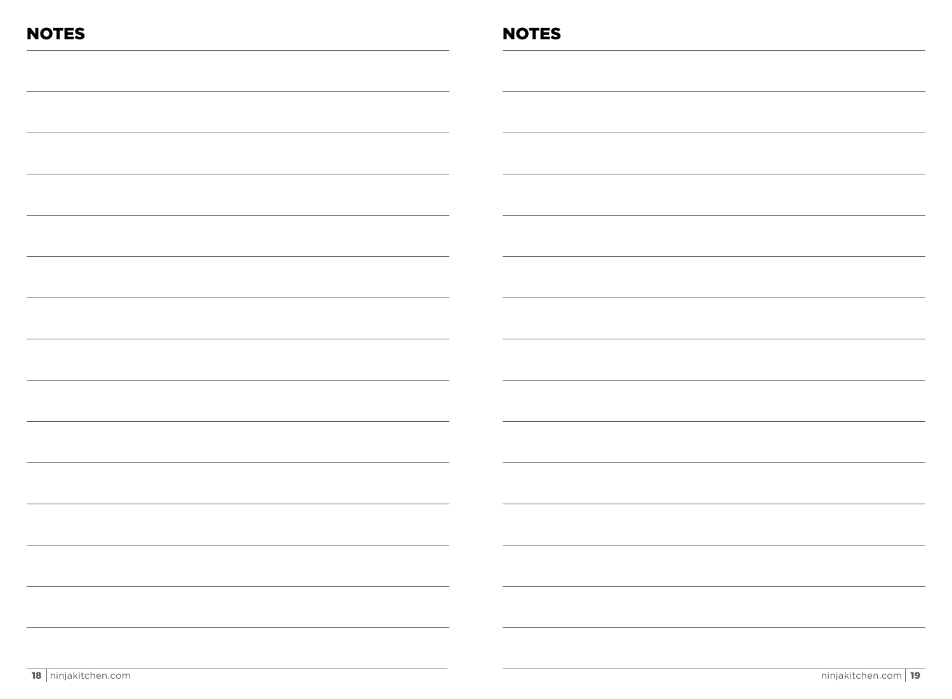| <b>NOTES</b> | <b>NOTES</b>                                                                                   |
|--------------|------------------------------------------------------------------------------------------------|
|              |                                                                                                |
|              |                                                                                                |
|              |                                                                                                |
|              |                                                                                                |
|              |                                                                                                |
|              |                                                                                                |
|              |                                                                                                |
|              |                                                                                                |
|              |                                                                                                |
|              |                                                                                                |
|              |                                                                                                |
|              |                                                                                                |
|              |                                                                                                |
|              |                                                                                                |
|              |                                                                                                |
|              | $\mathcal{L} = \{ \mathcal{L} \mid \mathcal{L} \in \mathcal{L} \}$<br>$\overline{\phantom{a}}$ |
|              | <u>and</u> the contract of the contract of                                                     |
|              |                                                                                                |